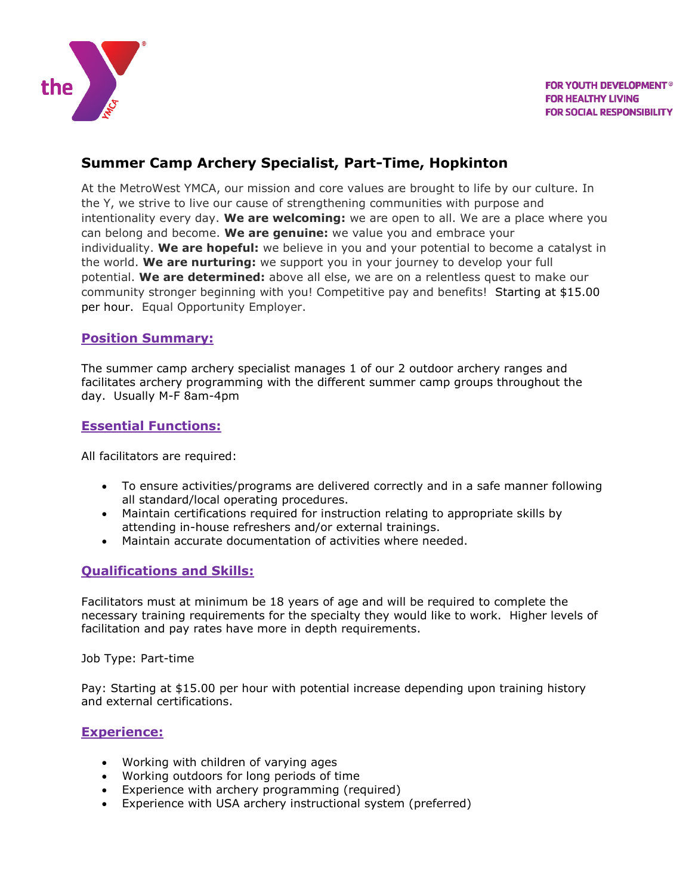

# **Summer Camp Archery Specialist, Part-Time, Hopkinton**

At the MetroWest YMCA, our mission and core values are brought to life by our culture. In the Y, we strive to live our cause of strengthening communities with purpose and intentionality every day. **We are welcoming:** we are open to all. We are a place where you can belong and become. **We are genuine:** we value you and embrace your individuality. **We are hopeful:** we believe in you and your potential to become a catalyst in the world. **We are nurturing:** we support you in your journey to develop your full potential. **We are determined:** above all else, we are on a relentless quest to make our community stronger beginning with you! Competitive pay and benefits! Starting at \$15.00 per hour. Equal Opportunity Employer.

#### **Position Summary:**

The summer camp archery specialist manages 1 of our 2 outdoor archery ranges and facilitates archery programming with the different summer camp groups throughout the day. Usually M-F 8am-4pm

#### **Essential Functions:**

All facilitators are required:

- To ensure activities/programs are delivered correctly and in a safe manner following all standard/local operating procedures.
- Maintain certifications required for instruction relating to appropriate skills by attending in-house refreshers and/or external trainings.
- Maintain accurate documentation of activities where needed.

## **Qualifications and Skills:**

Facilitators must at minimum be 18 years of age and will be required to complete the necessary training requirements for the specialty they would like to work. Higher levels of facilitation and pay rates have more in depth requirements.

Job Type: Part-time

Pay: Starting at \$15.00 per hour with potential increase depending upon training history and external certifications.

#### **Experience:**

- Working with children of varying ages
- Working outdoors for long periods of time
- Experience with archery programming (required)
- Experience with USA archery instructional system (preferred)